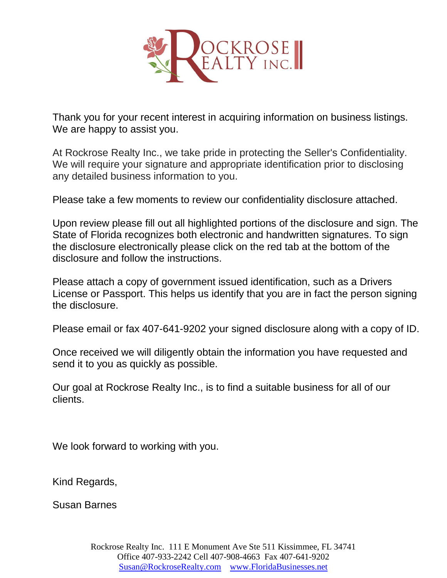

Thank you for your recent interest in acquiring information on business listings. We are happy to assist you.

At Rockrose Realty Inc., we take pride in protecting the Seller's Confidentiality. We will require your signature and appropriate identification prior to disclosing any detailed business information to you.

Please take a few moments to review our confidentiality disclosure attached.

Upon review please fill out all highlighted portions of the disclosure and sign. The State of Florida recognizes both electronic and handwritten signatures. To sign the disclosure electronically please click on the red tab at the bottom of the disclosure and follow the instructions.

Please attach a copy of government issued identification, such as a Drivers License or Passport. This helps us identify that you are in fact the person signing the disclosure.

Please email or fax 407-641-9202 your signed disclosure along with a copy of ID.

Once received we will diligently obtain the information you have requested and send it to you as quickly as possible.

Our goal at Rockrose Realty Inc., is to find a suitable business for all of our clients.

We look forward to working with you.

Kind Regards,

Susan Barnes